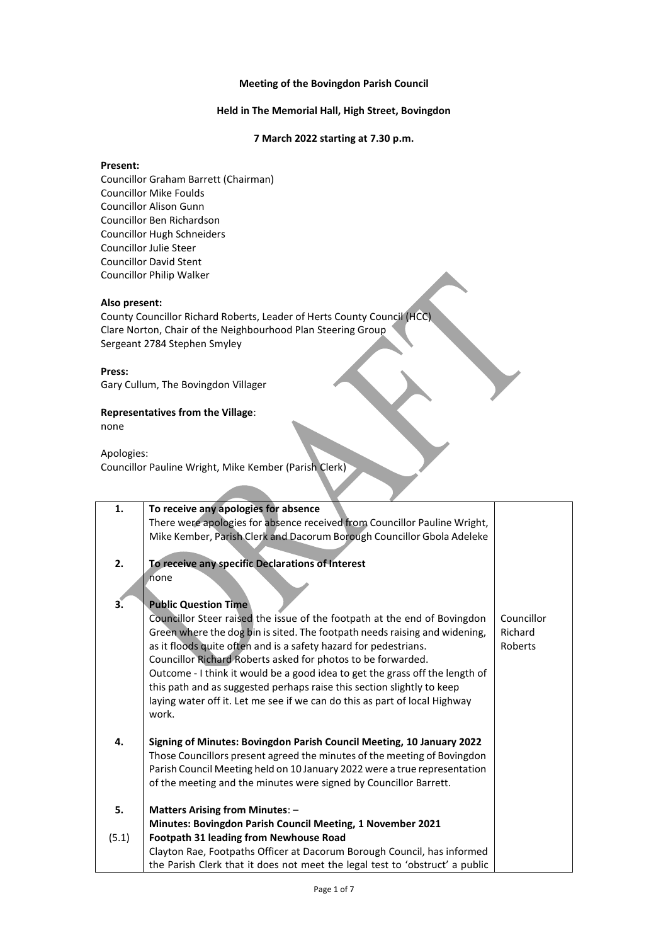## **Meeting of the Bovingdon Parish Council**

## **Held in The Memorial Hall, High Street, Bovingdon**

## **7 March 2022 starting at 7.30 p.m.**

# **Present:**

Councillor Graham Barrett (Chairman) Councillor Mike Foulds Councillor Alison Gunn Councillor Ben Richardson Councillor Hugh Schneiders Councillor Julie Steer Councillor David Stent Councillor Philip Walker

## **Also present:**

County Councillor Richard Roberts, Leader of Herts County Council (HCC) Clare Norton, Chair of the Neighbourhood Plan Steering Group Sergeant 2784 Stephen Smyley

#### **Press:**

Gary Cullum, The Bovingdon Villager

## **Representatives from the Village**:

none

Apologies: Councillor Pauline Wright, Mike Kember (Parish Clerk)

| 1.    | To receive any apologies for absence                                                |            |
|-------|-------------------------------------------------------------------------------------|------------|
|       | There were apologies for absence received from Councillor Pauline Wright,           |            |
|       | Mike Kember, Parish Clerk and Dacorum Borough Councillor Gbola Adeleke              |            |
|       |                                                                                     |            |
| 2.    | To receive any specific Declarations of Interest                                    |            |
|       | none                                                                                |            |
|       |                                                                                     |            |
| З.    | <b>Public Question Time</b>                                                         |            |
|       | Councillor Steer raised the issue of the footpath at the end of Bovingdon           | Councillor |
|       | Green where the dog bin is sited. The footpath needs raising and widening,          | Richard    |
|       | as it floods quite often and is a safety hazard for pedestrians.                    | Roberts    |
|       | Councillor Richard Roberts asked for photos to be forwarded.                        |            |
|       | Outcome - I think it would be a good idea to get the grass off the length of        |            |
|       | this path and as suggested perhaps raise this section slightly to keep              |            |
|       | laying water off it. Let me see if we can do this as part of local Highway<br>work. |            |
|       |                                                                                     |            |
| 4.    | Signing of Minutes: Bovingdon Parish Council Meeting, 10 January 2022               |            |
|       | Those Councillors present agreed the minutes of the meeting of Bovingdon            |            |
|       | Parish Council Meeting held on 10 January 2022 were a true representation           |            |
|       | of the meeting and the minutes were signed by Councillor Barrett.                   |            |
|       |                                                                                     |            |
| 5.    | <b>Matters Arising from Minutes: -</b>                                              |            |
|       | Minutes: Bovingdon Parish Council Meeting, 1 November 2021                          |            |
| (5.1) | <b>Footpath 31 leading from Newhouse Road</b>                                       |            |
|       | Clayton Rae, Footpaths Officer at Dacorum Borough Council, has informed             |            |
|       | the Parish Clerk that it does not meet the legal test to 'obstruct' a public        |            |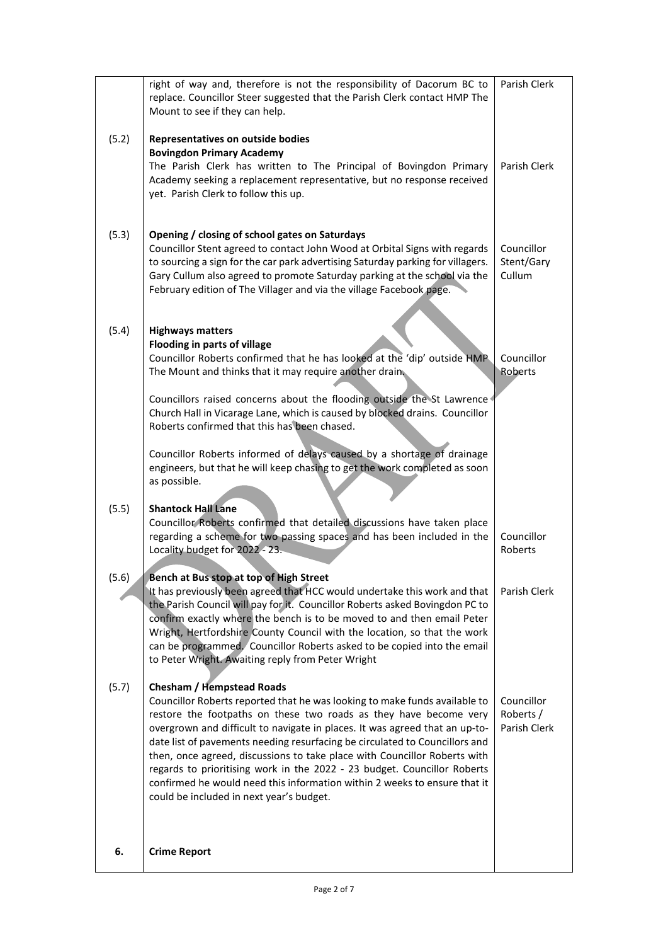|       | right of way and, therefore is not the responsibility of Dacorum BC to<br>replace. Councillor Steer suggested that the Parish Clerk contact HMP The<br>Mount to see if they can help.                                                                                                                                                                                                                                                                                                                                                                                                                                               | Parish Clerk                            |
|-------|-------------------------------------------------------------------------------------------------------------------------------------------------------------------------------------------------------------------------------------------------------------------------------------------------------------------------------------------------------------------------------------------------------------------------------------------------------------------------------------------------------------------------------------------------------------------------------------------------------------------------------------|-----------------------------------------|
| (5.2) | Representatives on outside bodies<br><b>Bovingdon Primary Academy</b><br>The Parish Clerk has written to The Principal of Bovingdon Primary<br>Academy seeking a replacement representative, but no response received<br>yet. Parish Clerk to follow this up.                                                                                                                                                                                                                                                                                                                                                                       | Parish Clerk                            |
| (5.3) | Opening / closing of school gates on Saturdays<br>Councillor Stent agreed to contact John Wood at Orbital Signs with regards<br>to sourcing a sign for the car park advertising Saturday parking for villagers.<br>Gary Cullum also agreed to promote Saturday parking at the school via the<br>February edition of The Villager and via the village Facebook page.                                                                                                                                                                                                                                                                 | Councillor<br>Stent/Gary<br>Cullum      |
| (5.4) | <b>Highways matters</b><br>Flooding in parts of village<br>Councillor Roberts confirmed that he has looked at the 'dip' outside HMP<br>The Mount and thinks that it may require another drain.<br>Councillors raised concerns about the flooding outside the St Lawrence<br>Church Hall in Vicarage Lane, which is caused by blocked drains. Councillor<br>Roberts confirmed that this has been chased.<br>Councillor Roberts informed of delays caused by a shortage of drainage<br>engineers, but that he will keep chasing to get the work completed as soon                                                                     | Councillor<br>Roberts                   |
| (5.5) | as possible.<br><b>Shantock Hall Lane</b><br>Councillor Roberts confirmed that detailed discussions have taken place<br>regarding a scheme for two passing spaces and has been included in the<br>Locality budget for 2022 - 23.                                                                                                                                                                                                                                                                                                                                                                                                    | Councillor<br>Roberts                   |
| (5.6) | Bench at Bus stop at top of High Street<br>It has previously been agreed that HCC would undertake this work and that<br>the Parish Council will pay for it. Councillor Roberts asked Bovingdon PC to<br>confirm exactly where the bench is to be moved to and then email Peter<br>Wright, Hertfordshire County Council with the location, so that the work<br>can be programmed. Councillor Roberts asked to be copied into the email<br>to Peter Wright. Awaiting reply from Peter Wright                                                                                                                                          | Parish Clerk                            |
| (5.7) | <b>Chesham / Hempstead Roads</b><br>Councillor Roberts reported that he was looking to make funds available to<br>restore the footpaths on these two roads as they have become very<br>overgrown and difficult to navigate in places. It was agreed that an up-to-<br>date list of pavements needing resurfacing be circulated to Councillors and<br>then, once agreed, discussions to take place with Councillor Roberts with<br>regards to prioritising work in the 2022 - 23 budget. Councillor Roberts<br>confirmed he would need this information within 2 weeks to ensure that it<br>could be included in next year's budget. | Councillor<br>Roberts /<br>Parish Clerk |
| 6.    | <b>Crime Report</b>                                                                                                                                                                                                                                                                                                                                                                                                                                                                                                                                                                                                                 |                                         |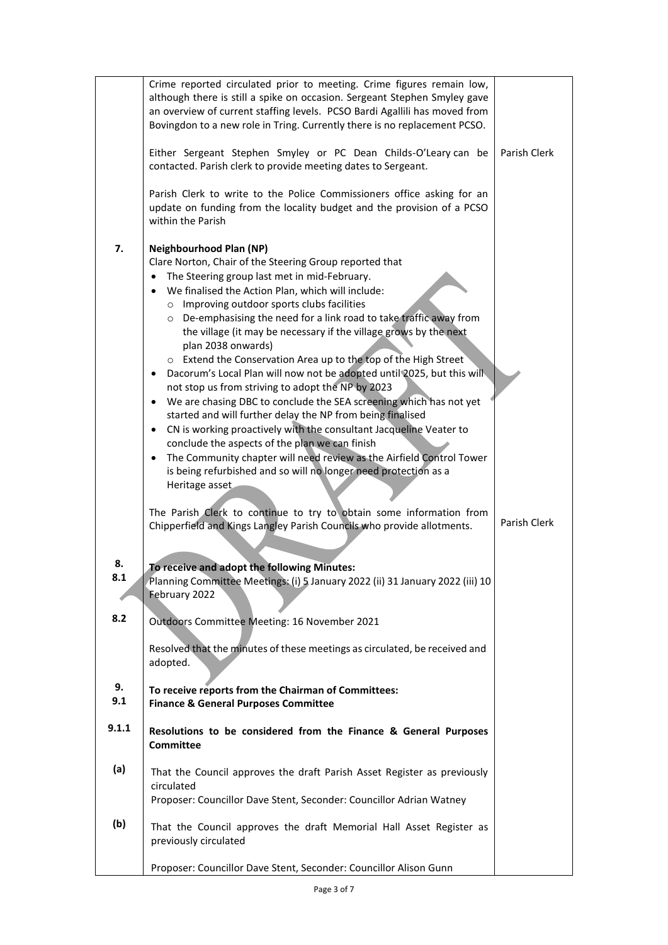|           | Crime reported circulated prior to meeting. Crime figures remain low,<br>although there is still a spike on occasion. Sergeant Stephen Smyley gave<br>an overview of current staffing levels. PCSO Bardi Agallili has moved from<br>Bovingdon to a new role in Tring. Currently there is no replacement PCSO.<br>Either Sergeant Stephen Smyley or PC Dean Childs-O'Leary can be<br>contacted. Parish clerk to provide meeting dates to Sergeant.<br>Parish Clerk to write to the Police Commissioners office asking for an<br>update on funding from the locality budget and the provision of a PCSO<br>within the Parish                                                                                                                                                                                                                                                                                                                                                                                                                                                                                                                                                                                            | Parish Clerk |
|-----------|-----------------------------------------------------------------------------------------------------------------------------------------------------------------------------------------------------------------------------------------------------------------------------------------------------------------------------------------------------------------------------------------------------------------------------------------------------------------------------------------------------------------------------------------------------------------------------------------------------------------------------------------------------------------------------------------------------------------------------------------------------------------------------------------------------------------------------------------------------------------------------------------------------------------------------------------------------------------------------------------------------------------------------------------------------------------------------------------------------------------------------------------------------------------------------------------------------------------------|--------------|
| 7.        | <b>Neighbourhood Plan (NP)</b><br>Clare Norton, Chair of the Steering Group reported that<br>The Steering group last met in mid-February.<br>We finalised the Action Plan, which will include:<br>o Improving outdoor sports clubs facilities<br>o De-emphasising the need for a link road to take traffic away from<br>the village (it may be necessary if the village grows by the next<br>plan 2038 onwards)<br>o Extend the Conservation Area up to the top of the High Street<br>Dacorum's Local Plan will now not be adopted until 2025, but this will<br>not stop us from striving to adopt the NP by 2023<br>We are chasing DBC to conclude the SEA screening which has not yet<br>$\bullet$<br>started and will further delay the NP from being finalised<br>CN is working proactively with the consultant Jacqueline Veater to<br>$\bullet$<br>conclude the aspects of the plan we can finish<br>The Community chapter will need review as the Airfield Control Tower<br>is being refurbished and so will no longer need protection as a<br>Heritage asset<br>The Parish Clerk to continue to try to obtain some information from<br>Chipperfield and Kings Langley Parish Councils who provide allotments. | Parish Clerk |
| 8.<br>8.1 | To receive and adopt the following Minutes:<br>Planning Committee Meetings: (i) 5 January 2022 (ii) 31 January 2022 (iii) 10<br>February 2022                                                                                                                                                                                                                                                                                                                                                                                                                                                                                                                                                                                                                                                                                                                                                                                                                                                                                                                                                                                                                                                                         |              |
| 8.2       | Outdoors Committee Meeting: 16 November 2021<br>Resolved that the minutes of these meetings as circulated, be received and                                                                                                                                                                                                                                                                                                                                                                                                                                                                                                                                                                                                                                                                                                                                                                                                                                                                                                                                                                                                                                                                                            |              |
|           | adopted.                                                                                                                                                                                                                                                                                                                                                                                                                                                                                                                                                                                                                                                                                                                                                                                                                                                                                                                                                                                                                                                                                                                                                                                                              |              |
| 9.<br>9.1 | To receive reports from the Chairman of Committees:<br><b>Finance &amp; General Purposes Committee</b>                                                                                                                                                                                                                                                                                                                                                                                                                                                                                                                                                                                                                                                                                                                                                                                                                                                                                                                                                                                                                                                                                                                |              |
| 9.1.1     | Resolutions to be considered from the Finance & General Purposes<br><b>Committee</b>                                                                                                                                                                                                                                                                                                                                                                                                                                                                                                                                                                                                                                                                                                                                                                                                                                                                                                                                                                                                                                                                                                                                  |              |
| (a)       | That the Council approves the draft Parish Asset Register as previously<br>circulated<br>Proposer: Councillor Dave Stent, Seconder: Councillor Adrian Watney                                                                                                                                                                                                                                                                                                                                                                                                                                                                                                                                                                                                                                                                                                                                                                                                                                                                                                                                                                                                                                                          |              |
| (b)       | That the Council approves the draft Memorial Hall Asset Register as<br>previously circulated                                                                                                                                                                                                                                                                                                                                                                                                                                                                                                                                                                                                                                                                                                                                                                                                                                                                                                                                                                                                                                                                                                                          |              |
|           | Proposer: Councillor Dave Stent, Seconder: Councillor Alison Gunn                                                                                                                                                                                                                                                                                                                                                                                                                                                                                                                                                                                                                                                                                                                                                                                                                                                                                                                                                                                                                                                                                                                                                     |              |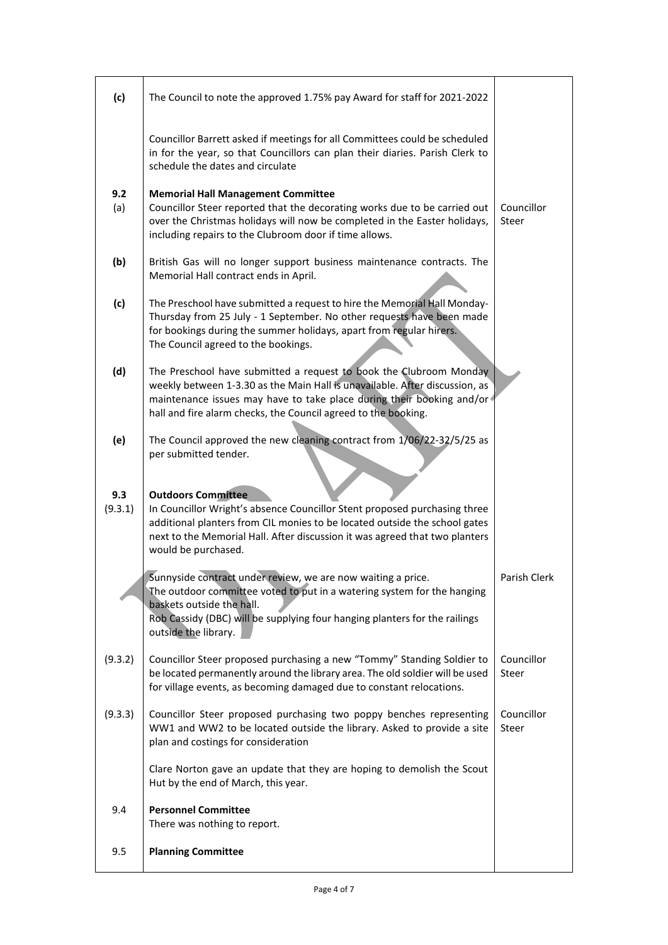| (c)            | The Council to note the approved 1.75% pay Award for staff for 2021-2022                                                                                                                                                                                                                     |                     |
|----------------|----------------------------------------------------------------------------------------------------------------------------------------------------------------------------------------------------------------------------------------------------------------------------------------------|---------------------|
|                | Councillor Barrett asked if meetings for all Committees could be scheduled<br>in for the year, so that Councillors can plan their diaries. Parish Clerk to<br>schedule the dates and circulate                                                                                               |                     |
| 9.2<br>(a)     | <b>Memorial Hall Management Committee</b><br>Councillor Steer reported that the decorating works due to be carried out<br>over the Christmas holidays will now be completed in the Easter holidays,<br>including repairs to the Clubroom door if time allows.                                | Councillor<br>Steer |
| (b)            | British Gas will no longer support business maintenance contracts. The<br>Memorial Hall contract ends in April.                                                                                                                                                                              |                     |
| (c)            | The Preschool have submitted a request to hire the Memorial Hall Monday-<br>Thursday from 25 July - 1 September. No other requests have been made<br>for bookings during the summer holidays, apart from regular hirers.<br>The Council agreed to the bookings.                              |                     |
| (d)            | The Preschool have submitted a request to book the Clubroom Monday<br>weekly between 1-3.30 as the Main Hall is unavailable. After discussion, as<br>maintenance issues may have to take place during their booking and/or<br>hall and fire alarm checks, the Council agreed to the booking. |                     |
| (e)            | The Council approved the new cleaning contract from 1/06/22-32/5/25 as<br>per submitted tender.                                                                                                                                                                                              |                     |
| 9.3<br>(9.3.1) | <b>Outdoors Committee</b><br>In Councillor Wright's absence Councillor Stent proposed purchasing three<br>additional planters from CIL monies to be located outside the school gates<br>next to the Memorial Hall. After discussion it was agreed that two planters<br>would be purchased.   |                     |
|                | Sunnyside contract under review, we are now waiting a price.<br>The outdoor committee voted to put in a watering system for the hanging<br>baskets outside the hall.<br>Rob Cassidy (DBC) will be supplying four hanging planters for the railings<br>outside the library.                   | Parish Clerk        |
| (9.3.2)        | Councillor Steer proposed purchasing a new "Tommy" Standing Soldier to<br>be located permanently around the library area. The old soldier will be used<br>for village events, as becoming damaged due to constant relocations.                                                               | Councillor<br>Steer |
| (9.3.3)        | Councillor Steer proposed purchasing two poppy benches representing<br>WW1 and WW2 to be located outside the library. Asked to provide a site<br>plan and costings for consideration                                                                                                         | Councillor<br>Steer |
|                | Clare Norton gave an update that they are hoping to demolish the Scout<br>Hut by the end of March, this year.                                                                                                                                                                                |                     |
| 9.4            | <b>Personnel Committee</b><br>There was nothing to report.                                                                                                                                                                                                                                   |                     |
| 9.5            | <b>Planning Committee</b>                                                                                                                                                                                                                                                                    |                     |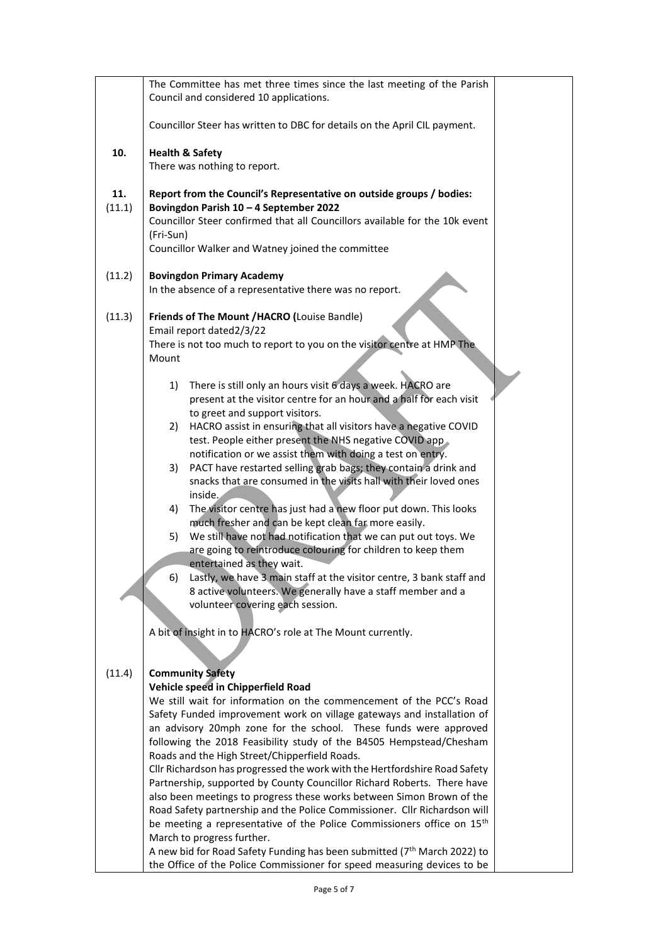|        | The Committee has met three times since the last meeting of the Parish<br>Council and considered 10 applications.                                     |
|--------|-------------------------------------------------------------------------------------------------------------------------------------------------------|
|        | Councillor Steer has written to DBC for details on the April CIL payment.                                                                             |
| 10.    | <b>Health &amp; Safety</b>                                                                                                                            |
|        | There was nothing to report.                                                                                                                          |
| 11.    | Report from the Council's Representative on outside groups / bodies:                                                                                  |
| (11.1) | Bovingdon Parish 10 - 4 September 2022                                                                                                                |
|        | Councillor Steer confirmed that all Councillors available for the 10k event                                                                           |
|        | (Fri-Sun)<br>Councillor Walker and Watney joined the committee                                                                                        |
|        |                                                                                                                                                       |
| (11.2) | <b>Bovingdon Primary Academy</b>                                                                                                                      |
|        | In the absence of a representative there was no report.                                                                                               |
| (11.3) | Friends of The Mount / HACRO (Louise Bandle)                                                                                                          |
|        | Email report dated2/3/22                                                                                                                              |
|        | There is not too much to report to you on the visitor centre at HMP The<br>Mount                                                                      |
|        |                                                                                                                                                       |
|        | There is still only an hours visit 6 days a week. HACRO are<br>1)                                                                                     |
|        | present at the visitor centre for an hour and a half for each visit                                                                                   |
|        | to greet and support visitors.<br>HACRO assist in ensuring that all visitors have a negative COVID<br>2)                                              |
|        | test. People either present the NHS negative COVID app                                                                                                |
|        | notification or we assist them with doing a test on entry.                                                                                            |
|        | PACT have restarted selling grab bags; they contain a drink and<br>3)<br>snacks that are consumed in the visits hall with their loved ones            |
|        | inside.                                                                                                                                               |
|        | The visitor centre has just had a new floor put down. This looks<br>4)                                                                                |
|        | much fresher and can be kept clean far more easily.                                                                                                   |
|        | We still have not had notification that we can put out toys. We<br>5)<br>are going to reintroduce colouring for children to keep them                 |
|        | entertained as they wait.                                                                                                                             |
|        | Lastly, we have 3 main staff at the visitor centre, 3 bank staff and<br>6)                                                                            |
|        | 8 active volunteers. We generally have a staff member and a<br>volunteer covering each session.                                                       |
|        |                                                                                                                                                       |
|        | A bit of insight in to HACRO's role at The Mount currently.                                                                                           |
|        |                                                                                                                                                       |
| (11.4) | <b>Community Safety</b>                                                                                                                               |
|        | Vehicle speed in Chipperfield Road                                                                                                                    |
|        | We still wait for information on the commencement of the PCC's Road                                                                                   |
|        | Safety Funded improvement work on village gateways and installation of<br>an advisory 20mph zone for the school. These funds were approved            |
|        | following the 2018 Feasibility study of the B4505 Hempstead/Chesham                                                                                   |
|        | Roads and the High Street/Chipperfield Roads.                                                                                                         |
|        | Cllr Richardson has progressed the work with the Hertfordshire Road Safety<br>Partnership, supported by County Councillor Richard Roberts. There have |
|        | also been meetings to progress these works between Simon Brown of the                                                                                 |
|        | Road Safety partnership and the Police Commissioner. Cllr Richardson will                                                                             |
|        | be meeting a representative of the Police Commissioners office on 15 <sup>th</sup>                                                                    |
|        | March to progress further.<br>A new bid for Road Safety Funding has been submitted (7 <sup>th</sup> March 2022) to                                    |
|        | the Office of the Police Commissioner for speed measuring devices to be                                                                               |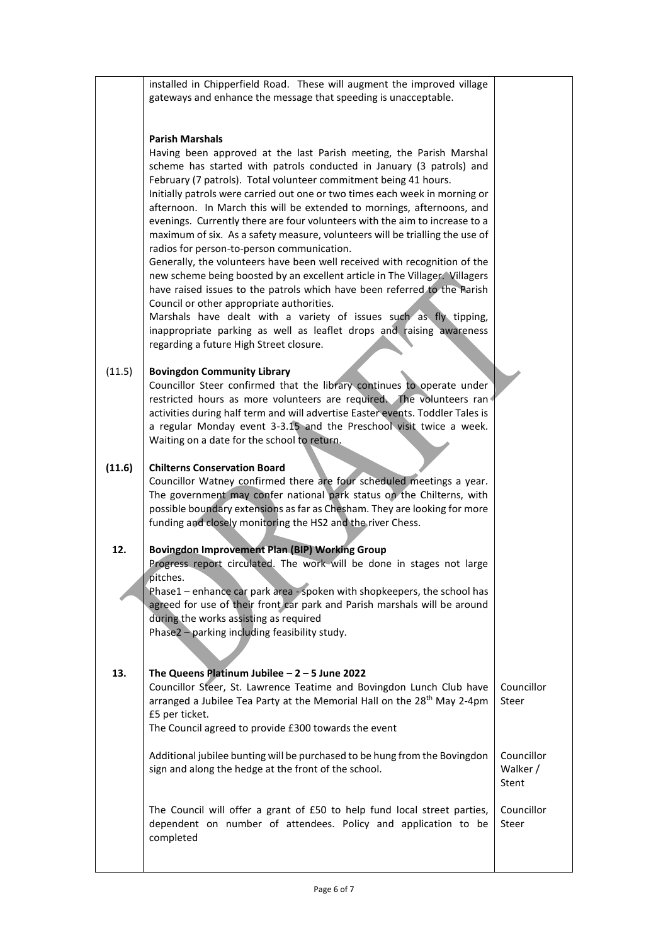|        | installed in Chipperfield Road. These will augment the improved village                                                                                                                                                                                                                                                                                                                                                                                                                                                                                                                     |                                 |
|--------|---------------------------------------------------------------------------------------------------------------------------------------------------------------------------------------------------------------------------------------------------------------------------------------------------------------------------------------------------------------------------------------------------------------------------------------------------------------------------------------------------------------------------------------------------------------------------------------------|---------------------------------|
|        | gateways and enhance the message that speeding is unacceptable.                                                                                                                                                                                                                                                                                                                                                                                                                                                                                                                             |                                 |
|        |                                                                                                                                                                                                                                                                                                                                                                                                                                                                                                                                                                                             |                                 |
|        | <b>Parish Marshals</b><br>Having been approved at the last Parish meeting, the Parish Marshal                                                                                                                                                                                                                                                                                                                                                                                                                                                                                               |                                 |
|        | scheme has started with patrols conducted in January (3 patrols) and<br>February (7 patrols). Total volunteer commitment being 41 hours.<br>Initially patrols were carried out one or two times each week in morning or<br>afternoon. In March this will be extended to mornings, afternoons, and<br>evenings. Currently there are four volunteers with the aim to increase to a<br>maximum of six. As a safety measure, volunteers will be trialling the use of<br>radios for person-to-person communication.<br>Generally, the volunteers have been well received with recognition of the |                                 |
|        | new scheme being boosted by an excellent article in The Villager. Villagers<br>have raised issues to the patrols which have been referred to the Parish<br>Council or other appropriate authorities.                                                                                                                                                                                                                                                                                                                                                                                        |                                 |
|        | Marshals have dealt with a variety of issues such as fly tipping,<br>inappropriate parking as well as leaflet drops and raising awareness<br>regarding a future High Street closure.                                                                                                                                                                                                                                                                                                                                                                                                        |                                 |
| (11.5) | <b>Bovingdon Community Library</b><br>Councillor Steer confirmed that the library continues to operate under<br>restricted hours as more volunteers are required. The volunteers ran<br>activities during half term and will advertise Easter events. Toddler Tales is<br>a regular Monday event 3-3.15 and the Preschool visit twice a week.<br>Waiting on a date for the school to return.                                                                                                                                                                                                |                                 |
|        |                                                                                                                                                                                                                                                                                                                                                                                                                                                                                                                                                                                             |                                 |
| (11.6) | <b>Chilterns Conservation Board</b><br>Councillor Watney confirmed there are four scheduled meetings a year.<br>The government may confer national park status on the Chilterns, with<br>possible boundary extensions as far as Chesham. They are looking for more<br>funding and closely monitoring the HS2 and the river Chess.                                                                                                                                                                                                                                                           |                                 |
| 12.    | <b>Bovingdon Improvement Plan (BIP) Working Group</b><br>Progress report circulated. The work will be done in stages not large                                                                                                                                                                                                                                                                                                                                                                                                                                                              |                                 |
|        | pitches.<br>Phase1 - enhance car park area - spoken with shopkeepers, the school has                                                                                                                                                                                                                                                                                                                                                                                                                                                                                                        |                                 |
|        | agreed for use of their front car park and Parish marshals will be around<br>during the works assisting as required                                                                                                                                                                                                                                                                                                                                                                                                                                                                         |                                 |
|        | Phase2 - parking including feasibility study.                                                                                                                                                                                                                                                                                                                                                                                                                                                                                                                                               |                                 |
| 13.    | The Queens Platinum Jubilee $-2 - 5$ June 2022                                                                                                                                                                                                                                                                                                                                                                                                                                                                                                                                              |                                 |
|        | Councillor Steer, St. Lawrence Teatime and Bovingdon Lunch Club have<br>arranged a Jubilee Tea Party at the Memorial Hall on the 28 <sup>th</sup> May 2-4pm<br>£5 per ticket.                                                                                                                                                                                                                                                                                                                                                                                                               | Councillor<br>Steer             |
|        | The Council agreed to provide £300 towards the event                                                                                                                                                                                                                                                                                                                                                                                                                                                                                                                                        |                                 |
|        | Additional jubilee bunting will be purchased to be hung from the Bovingdon<br>sign and along the hedge at the front of the school.                                                                                                                                                                                                                                                                                                                                                                                                                                                          | Councillor<br>Walker /<br>Stent |
|        | The Council will offer a grant of £50 to help fund local street parties,<br>dependent on number of attendees. Policy and application to be<br>completed                                                                                                                                                                                                                                                                                                                                                                                                                                     | Councillor<br>Steer             |
|        |                                                                                                                                                                                                                                                                                                                                                                                                                                                                                                                                                                                             |                                 |